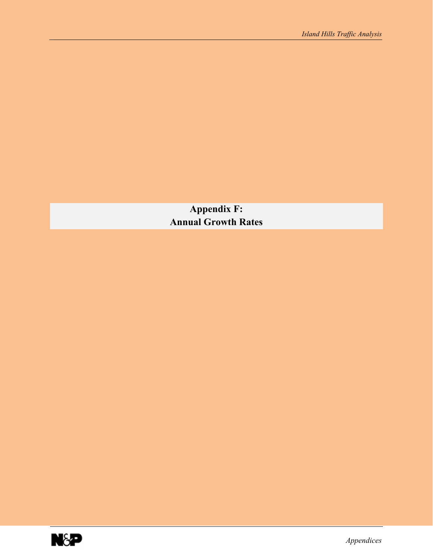**Appendix F: Annual Growth Rates** 

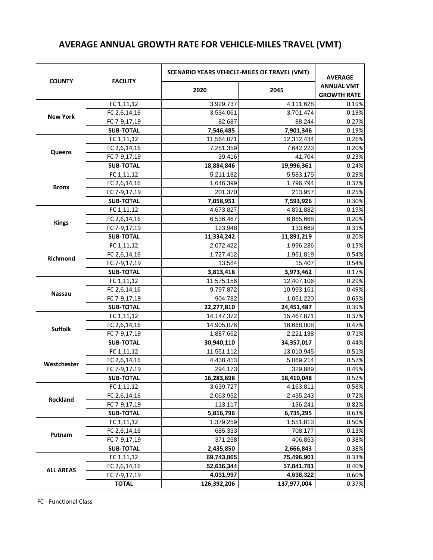## **AVERAGE ANNUAL GROWTH RATE FOR VEHICLE-MILES TRAVEL (VMT)**

|                  |                  | <b>SCENARIO YEARS VEHICLE-MILES OF TRAVEL (VMT)</b> |             | <b>AVERAGE</b>                          |
|------------------|------------------|-----------------------------------------------------|-------------|-----------------------------------------|
| <b>COUNTY</b>    | <b>FACILITY</b>  | 2020                                                | 2045        | <b>ANNUAL VMT</b><br><b>GROWTH RATE</b> |
|                  | FC 1,11,12       | 3,929,737                                           | 4,111,628   | 0.19%                                   |
| <b>New York</b>  | FC 2,6,14,16     | 3,534,061                                           | 3,701,474   | 0.19%                                   |
|                  | FC 7-9,17,19     | 82,687                                              | 88,244      | 0.27%                                   |
|                  | <b>SUB-TOTAL</b> | 7,546,485                                           | 7,901,346   | 0.19%                                   |
|                  | FC 1,11,12       | 11,564,071                                          | 12,312,434  | 0.26%                                   |
| Queens           | FC 2,6,14,16     | 7,281,359                                           | 7,642,223   | 0.20%                                   |
|                  | FC 7-9,17,19     | 39,416                                              | 41,704      | 0.23%                                   |
|                  | <b>SUB-TOTAL</b> | 18,884,846                                          | 19,996,361  | 0.24%                                   |
|                  | FC 1,11,12       | 5,211,182                                           | 5,583,175   | 0.29%                                   |
| <b>Bronx</b>     | FC 2,6,14,16     | 1,646,399                                           | 1,796,794   | 0.37%                                   |
|                  | FC 7-9,17,19     | 201,370                                             | 213,957     | 0.25%                                   |
|                  | <b>SUB-TOTAL</b> | 7,058,951                                           | 7,593,926   | 0.30%                                   |
|                  | FC 1,11,12       | 4,673,827                                           | 4,891,882   | 0.19%                                   |
| <b>Kings</b>     | FC 2,6,14,16     | 6,536,467                                           | 6,865,668   | 0.20%                                   |
|                  | FC 7-9,17,19     | 123,948                                             | 133,669     | 0.31%                                   |
|                  | <b>SUB-TOTAL</b> | 11,334,242                                          | 11,891,219  | 0.20%                                   |
|                  | FC 1,11,12       | 2,072,422                                           | 1,996,236   | $-0.15%$                                |
| Richmond         | FC 2,6,14,16     | 1,727,412                                           | 1,961,819   | 0.54%                                   |
|                  | FC 7-9,17,19     | 13,584                                              | 15,407      | 0.54%                                   |
|                  | <b>SUB-TOTAL</b> | 3,813,418                                           | 3,973,462   | 0.17%                                   |
|                  | FC 1,11,12       | 11,575,156                                          | 12,407,106  | 0.29%                                   |
| <b>Nassau</b>    | FC 2,6,14,16     | 9,797,872                                           | 10,993,161  | 0.49%                                   |
|                  | FC 7-9,17,19     | 904,782                                             | 1,051,220   | 0.65%                                   |
|                  | <b>SUB-TOTAL</b> | 22,277,810                                          | 24,451,487  | 0.39%                                   |
|                  | FC 1,11,12       | 14, 147, 372                                        | 15,467,871  | 0.37%                                   |
| <b>Suffolk</b>   | FC 2,6,14,16     | 14,905,076                                          | 16,668,008  | 0.47%                                   |
|                  | FC 7-9,17,19     | 1,887,662                                           | 2,221,138   | 0.71%                                   |
|                  | <b>SUB-TOTAL</b> | 30,940,110                                          | 34,357,017  | 0.44%                                   |
|                  | FC 1,11,12       | 11,551,112                                          | 13,010,945  | 0.51%                                   |
| Westchester      | FC 2,6,14,16     | 4,438,413                                           | 5,069,214   | 0.57%                                   |
|                  | FC 7-9,17,19     | 294,173                                             | 329,889     | 0.49%                                   |
|                  | <b>SUB-TOTAL</b> | 16.283.698                                          | 18,410,048  | 0.52%                                   |
|                  | FC 1,11,12       | 3,639,727                                           | 4,163,811   | 0.58%                                   |
| Rockland         | FC 2,6,14,16     | 2,063,952                                           | 2,435,243   | 0.72%                                   |
|                  | FC 7-9,17,19     | 113,117                                             | 136,241     | 0.82%                                   |
|                  | <b>SUB-TOTAL</b> | 5,816,796                                           | 6,735,295   | 0.63%                                   |
|                  | FC 1,11,12       | 1,379,259                                           | 1,551,813   | 0.50%                                   |
| Putnam           | FC 2,6,14,16     | 685,333                                             | 708,177     | 0.13%                                   |
|                  | FC 7-9,17,19     | 371,258                                             | 406,853     | 0.38%                                   |
|                  | <b>SUB-TOTAL</b> | 2,435,850                                           | 2,666,843   | 0.38%                                   |
|                  | FC 1,11,12       | 69,743,865                                          | 75,496,901  | 0.33%                                   |
| <b>ALL AREAS</b> | FC 2,6,14,16     | 52,616,344                                          | 57,841,781  | 0.40%                                   |
|                  | FC 7-9,17,19     | 4,031,997                                           | 4,638,322   | 0.60%                                   |
|                  | <b>TOTAL</b>     | 126,392,206                                         | 137,977,004 | 0.37%                                   |

FC - Functional Class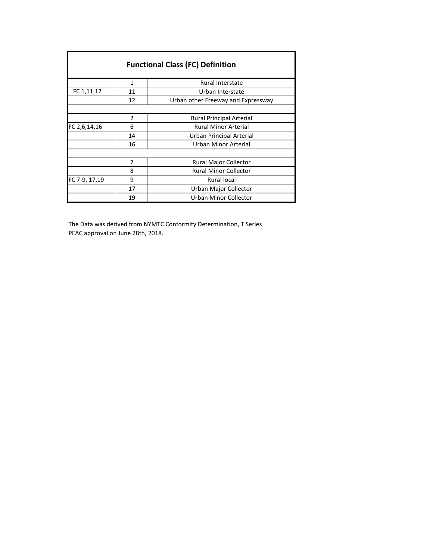| <b>Functional Class (FC) Definition</b> |               |                                    |
|-----------------------------------------|---------------|------------------------------------|
|                                         | 1             | <b>Rural Interstate</b>            |
| FC 1,11,12                              | 11            | Urban Interstate                   |
|                                         | 12            | Urban other Freeway and Expressway |
|                                         |               |                                    |
|                                         | $\mathcal{P}$ | <b>Rural Principal Arterial</b>    |
| FC 2,6,14,16                            | 6             | <b>Rural Minor Arterial</b>        |
|                                         | 14            | Urban Principal Arterial           |
|                                         | 16            | Urban Minor Arterial               |
|                                         |               |                                    |
|                                         | 7             | Rural Major Collector              |
|                                         | 8             | <b>Rural Minor Collector</b>       |
| FC 7-9, 17,19                           | 9             | <b>Rural local</b>                 |
|                                         | 17            | Urban Major Collector              |
|                                         | 19            | Urban Minor Collector              |

The Data was derived from NYMTC Conformity Determination, T Series PFAC approval on June 28th, 2018.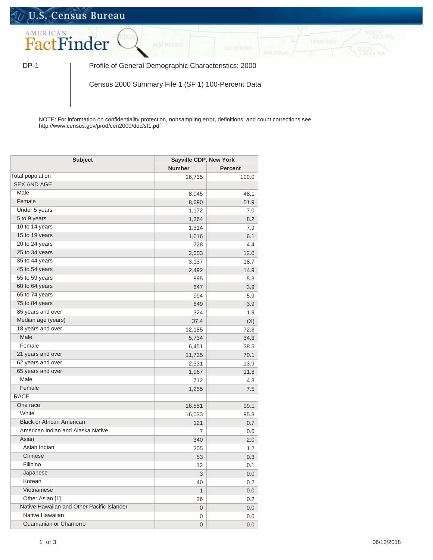## U.S. Census Bureau



DP-1 | Profile of General Demographic Characteristics: 2000

Census 2000 Summary File 1 (SF 1) 100-Percent Data

NOTE: For information on confidentiality protection, nonsampling error, definitions, and count corrections see http://www.census.gov/prod/cen2000/doc/sf1.pdf

| <b>Subject</b>                             |                | <b>Sayville CDP, New York</b> |  |
|--------------------------------------------|----------------|-------------------------------|--|
|                                            | <b>Number</b>  | <b>Percent</b>                |  |
| Total population                           | 16,735         | 100.0                         |  |
| <b>SEX AND AGE</b>                         |                |                               |  |
| Male                                       | 8,045          | 48.1                          |  |
| Female                                     | 8,690          | 51.9                          |  |
| Under 5 years                              | 1,172          | 7.0                           |  |
| 5 to 9 years                               | 1,364          | 8.2                           |  |
| 10 to 14 years                             | 1,314          | 7.9                           |  |
| 15 to 19 years                             | 1,016          | 6.1                           |  |
| 20 to 24 years                             | 728            | 4.4                           |  |
| 25 to 34 years                             | 2,003          | 12.0                          |  |
| 35 to 44 years                             | 3,137          | 18.7                          |  |
| 45 to 54 years                             | 2,492          | 14.9                          |  |
| 55 to 59 years                             | 895            | 5.3                           |  |
| 60 to 64 years                             | 647            | 3.9                           |  |
| 65 to 74 years                             | 994            | 5.9                           |  |
| 75 to 84 years                             | 649            | 3.9                           |  |
| 85 years and over                          | 324            | 1.9                           |  |
| Median age (years)                         | 37.4           | (X)                           |  |
| 18 years and over                          | 12,185         | 72.8                          |  |
| Male                                       | 5,734          | 34.3                          |  |
| Female                                     | 6,451          | 38.5                          |  |
| 21 years and over                          | 11,735         | 70.1                          |  |
| 62 years and over                          | 2,331          | 13.9                          |  |
| 65 years and over                          | 1,967          | 11.8                          |  |
| Male                                       | 712            | 4.3                           |  |
| Female                                     | 1,255          | 7.5                           |  |
| <b>RACE</b>                                |                |                               |  |
| One race                                   | 16,581         | 99.1                          |  |
| White                                      | 16,033         | 95.8                          |  |
| <b>Black or African American</b>           | 121            | 0.7                           |  |
| American Indian and Alaska Native          | 7              | 0.0                           |  |
| Asian                                      | 340            | 2.0                           |  |
| Asian Indian                               | 205            | 1.2                           |  |
| Chinese                                    | 53             | 0.3                           |  |
| Filipino                                   | 12             | 0.1                           |  |
| Japanese                                   | 3              | 0.0                           |  |
| Korean                                     | 40             | 0.2                           |  |
| Vietnamese                                 | $\mathbf{1}$   | $0.0\,$                       |  |
| Other Asian [1]                            | 26             | 0.2                           |  |
| Native Hawaiian and Other Pacific Islander | 0              | $0.0\,$                       |  |
| Native Hawaiian                            | 0              | $0.0\,$                       |  |
| Guamanian or Chamorro                      | $\overline{0}$ | $0.0\,$                       |  |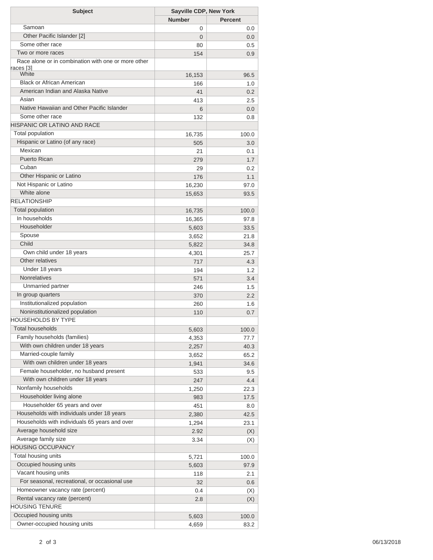| <b>Subject</b>                                      | Sayville CDP, New York |         |
|-----------------------------------------------------|------------------------|---------|
|                                                     | <b>Number</b>          | Percent |
| Samoan                                              | 0                      | 0.0     |
| Other Pacific Islander [2]                          | $\Omega$               | 0.0     |
| Some other race                                     | 80                     | 0.5     |
| Two or more races                                   | 154                    | 0.9     |
| Race alone or in combination with one or more other |                        |         |
| races [3]<br>White                                  | 16,153                 | 96.5    |
| <b>Black or African American</b>                    | 166                    | 1.0     |
| American Indian and Alaska Native                   | 41                     | 0.2     |
| Asian                                               | 413                    | 2.5     |
| Native Hawaiian and Other Pacific Islander          | 6                      | 0.0     |
| Some other race                                     | 132                    | 0.8     |
| <b>HISPANIC OR LATINO AND RACE</b>                  |                        |         |
| Total population                                    | 16,735                 | 100.0   |
| Hispanic or Latino (of any race)                    | 505                    | 3.0     |
| Mexican                                             | 21                     | 0.1     |
| <b>Puerto Rican</b>                                 | 279                    | 1.7     |
| Cuban                                               | 29                     | 0.2     |
| Other Hispanic or Latino                            | 176                    | 1.1     |
| Not Hispanic or Latino                              | 16,230                 | 97.0    |
| White alone                                         | 15,653                 | 93.5    |
| <b>RELATIONSHIP</b>                                 |                        |         |
| <b>Total population</b>                             | 16,735                 | 100.0   |
| In households                                       | 16,365                 | 97.8    |
| Householder                                         | 5,603                  | 33.5    |
| Spouse                                              | 3,652                  | 21.8    |
| Child                                               | 5,822                  | 34.8    |
| Own child under 18 years                            | 4,301                  | 25.7    |
| Other relatives                                     | 717                    | 4.3     |
| Under 18 years                                      | 194                    | 1.2     |
| <b>Nonrelatives</b>                                 | 571                    | 3.4     |
| Unmarried partner                                   | 246                    | 1.5     |
| In group quarters                                   | 370                    | 2.2     |
| Institutionalized population                        | 260                    | 1.6     |
| Noninstitutionalized population                     | 110                    | 0.7     |
| <b>HOUSEHOLDS BY TYPE</b>                           |                        |         |
| <b>Total households</b>                             | 5,603                  | 100.0   |
| Family households (families)                        | 4,353                  | 77.7    |
| With own children under 18 years                    | 2,257                  | 40.3    |
| Married-couple family                               | 3,652                  | 65.2    |
| With own children under 18 years                    | 1,941                  | 34.6    |
| Female householder, no husband present              | 533                    | 9.5     |
| With own children under 18 years                    | 247                    | 4.4     |
| Nonfamily households                                | 1,250                  | 22.3    |
| Householder living alone                            | 983                    | 17.5    |
| Householder 65 years and over                       | 451                    | 8.0     |
| Households with individuals under 18 years          | 2,380                  | 42.5    |
| Households with individuals 65 years and over       | 1,294                  | 23.1    |
| Average household size                              | 2.92                   | (X)     |
| Average family size                                 | 3.34                   | (X)     |
| HOUSING OCCUPANCY                                   |                        |         |
| Total housing units                                 | 5,721                  | 100.0   |
| Occupied housing units                              | 5,603                  | 97.9    |
| Vacant housing units                                | 118                    | 2.1     |
| For seasonal, recreational, or occasional use       | 32                     | 0.6     |
| Homeowner vacancy rate (percent)                    | 0.4                    | (X)     |
| Rental vacancy rate (percent)                       | 2.8                    | (X)     |
| <b>HOUSING TENURE</b>                               |                        |         |
| Occupied housing units                              | 5,603                  | 100.0   |
| Owner-occupied housing units                        | 4,659                  | 83.2    |
|                                                     |                        |         |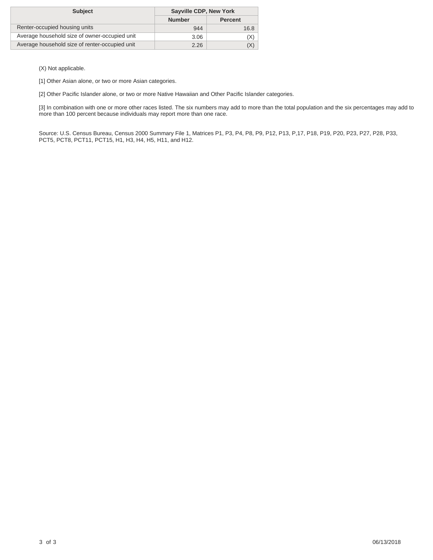| <b>Subject</b>                                 | Sayville CDP, New York |                |
|------------------------------------------------|------------------------|----------------|
|                                                | <b>Number</b>          | <b>Percent</b> |
| Renter-occupied housing units                  | 944                    | 16.8           |
| Average household size of owner-occupied unit  | 3.06                   | (X)            |
| Average household size of renter-occupied unit | 2.26                   | (X)            |

(X) Not applicable.

[1] Other Asian alone, or two or more Asian categories.

[2] Other Pacific Islander alone, or two or more Native Hawaiian and Other Pacific Islander categories.

[3] In combination with one or more other races listed. The six numbers may add to more than the total population and the six percentages may add to more than 100 percent because individuals may report more than one race.

Source: U.S. Census Bureau, Census 2000 Summary File 1, Matrices P1, P3, P4, P8, P9, P12, P13, P,17, P18, P19, P20, P23, P27, P28, P33, PCT5, PCT8, PCT11, PCT15, H1, H3, H4, H5, H11, and H12.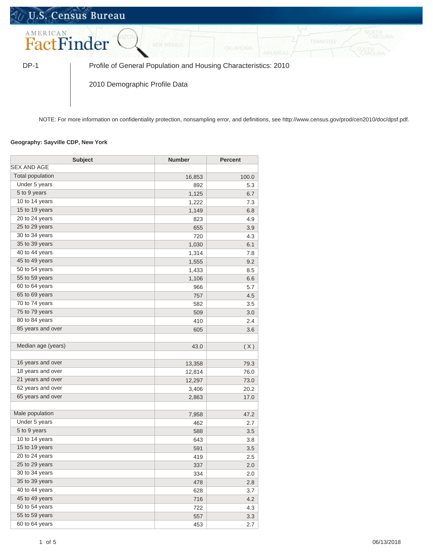## U.S. Census Bureau AMERICAN FactFinder

DP-1 Profile of General Population and Housing Characteristics: 2010

2010 Demographic Profile Data

NOTE: For more information on confidentiality protection, nonsampling error, and definitions, see http://www.census.gov/prod/cen2010/doc/dpsf.pdf.

## **Geography: Sayville CDP, New York**

| <b>Subject</b>          | <b>Number</b> | <b>Percent</b> |
|-------------------------|---------------|----------------|
| <b>SEX AND AGE</b>      |               |                |
| <b>Total population</b> | 16,853        | 100.0          |
| Under 5 years           | 892           | 5.3            |
| 5 to 9 years            | 1,125         | 6.7            |
| 10 to 14 years          | 1,222         | 7.3            |
| 15 to 19 years          | 1,149         | 6.8            |
| 20 to 24 years          | 823           | 4.9            |
| 25 to 29 years          | 655           | 3.9            |
| 30 to 34 years          | 720           | 4.3            |
| 35 to 39 years          | 1,030         | 6.1            |
| 40 to 44 years          | 1,314         | 7.8            |
| 45 to 49 years          | 1,555         | 9.2            |
| 50 to 54 years          | 1,433         | 8.5            |
| 55 to 59 years          | 1,106         | 6.6            |
| 60 to 64 years          | 966           | 5.7            |
| 65 to 69 years          | 757           | 4.5            |
| 70 to 74 years          | 582           | 3.5            |
| 75 to 79 years          | 509           | 3.0            |
| 80 to 84 years          | 410           | 2.4            |
| 85 years and over       | 605           | 3.6            |
|                         |               |                |
| Median age (years)      | 43.0          | (X)            |
|                         |               |                |
| 16 years and over       | 13,358        | 79.3           |
| 18 years and over       | 12,814        | 76.0           |
| 21 years and over       | 12,297        | 73.0           |
| 62 years and over       | 3,406         | 20.2           |
| 65 years and over       | 2,863         | 17.0           |
| Male population         | 7,958         | 47.2           |
| Under 5 years           | 462           | 2.7            |
| 5 to 9 years            | 588           | 3.5            |
| 10 to 14 years          | 643           | 3.8            |
| 15 to 19 years          | 591           | 3.5            |
| 20 to 24 years          | 419           | 2.5            |
| 25 to 29 years          | 337           | 2.0            |
| 30 to 34 years          | 334           | 2.0            |
| 35 to 39 years          | 478           | 2.8            |
| 40 to 44 years          | 628           | 3.7            |
| 45 to 49 years          | 716           | 4.2            |
| 50 to 54 years          | 722           | 4.3            |
| 55 to 59 years          | 557           | 3.3            |
| 60 to 64 years          | 453           | 2.7            |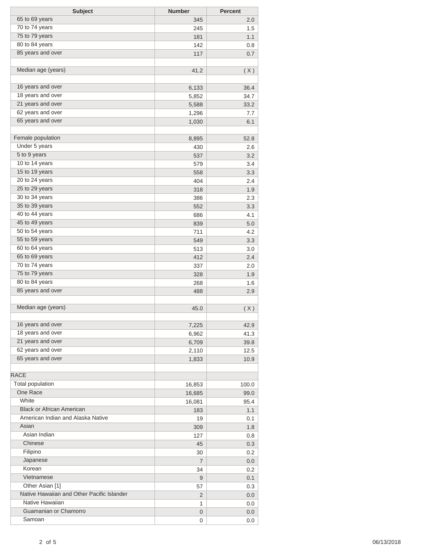| <b>Subject</b>                             | <b>Number</b>  | <b>Percent</b> |
|--------------------------------------------|----------------|----------------|
| 65 to 69 years                             | 345            | 2.0            |
| 70 to 74 years                             | 245            | 1.5            |
| 75 to 79 years                             | 181            | 1.1            |
| 80 to 84 years                             | 142            | 0.8            |
| 85 years and over                          | 117            | 0.7            |
|                                            |                |                |
| Median age (years)                         | 41.2           | (X)            |
|                                            |                |                |
| 16 years and over                          | 6,133          | 36.4           |
| 18 years and over                          | 5,852          | 34.7           |
| 21 years and over<br>62 years and over     | 5,588          | 33.2           |
| 65 years and over                          | 1,296          | 7.7            |
|                                            | 1,030          | 6.1            |
| Female population                          | 8,895          | 52.8           |
| Under 5 years                              | 430            | 2.6            |
| 5 to 9 years                               | 537            | 3.2            |
| 10 to 14 years                             | 579            | 3.4            |
| 15 to 19 years                             | 558            | 3.3            |
| 20 to 24 years                             | 404            | 2.4            |
| 25 to 29 years                             | 318            | 1.9            |
| 30 to 34 years                             | 386            | 2.3            |
| 35 to 39 years                             | 552            | 3.3            |
| 40 to 44 years                             | 686            | 4.1            |
| 45 to 49 years                             | 839            | 5.0            |
| 50 to 54 years                             | 711            | 4.2            |
| 55 to 59 years                             | 549            | 3.3            |
| 60 to 64 years                             | 513            | 3.0            |
| 65 to 69 years                             | 412            | 2.4            |
| 70 to 74 years                             | 337            | 2.0            |
| 75 to 79 years                             | 328            | 1.9            |
| 80 to 84 years                             | 268            | 1.6            |
| 85 years and over                          | 488            | 2.9            |
|                                            |                |                |
| Median age (years)                         | 45.0           | (X)            |
|                                            |                |                |
| 16 years and over                          | 7,225          | 42.9           |
| 18 years and over                          | 6,962          | 41.3           |
| 21 years and over<br>62 years and over     | 6,709          | 39.8           |
| 65 years and over                          | 2,110          | 12.5           |
|                                            | 1,833          | 10.9           |
| RACE                                       |                |                |
| Total population                           | 16,853         | 100.0          |
| One Race                                   | 16,685         | 99.0           |
| White                                      | 16,081         | 95.4           |
| <b>Black or African American</b>           | 183            | 1.1            |
| American Indian and Alaska Native          | 19             | 0.1            |
| Asian                                      | 309            | 1.8            |
| Asian Indian                               | 127            | 0.8            |
| Chinese                                    | 45             | 0.3            |
| Filipino                                   | 30             | 0.2            |
| Japanese                                   | 7              | 0.0            |
| Korean                                     | 34             | 0.2            |
| Vietnamese                                 | 9              | 0.1            |
| Other Asian [1]                            | 57             | 0.3            |
| Native Hawaiian and Other Pacific Islander | $\overline{2}$ | 0.0            |
| Native Hawaiian                            | 1              | 0.0            |
| Guamanian or Chamorro                      | 0              | 0.0            |
| Samoan                                     | 0              | 0.0            |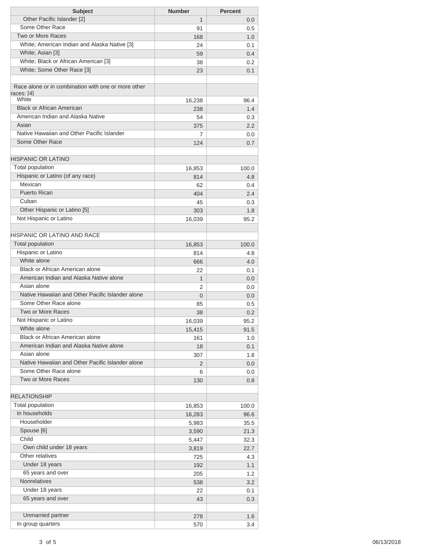| <b>Subject</b>                                      | <b>Number</b>  | <b>Percent</b> |
|-----------------------------------------------------|----------------|----------------|
| Other Pacific Islander [2]                          | 1              | 0.0            |
| Some Other Race                                     | 91             | 0.5            |
| <b>Two or More Races</b>                            | 168            | 1.0            |
| White; American Indian and Alaska Native [3]        | 24             | 0.1            |
| White; Asian [3]                                    | 59             | 0.4            |
| White; Black or African American [3]                | 38             | 0.2            |
| White; Some Other Race [3]                          | 23             | 0.1            |
|                                                     |                |                |
| Race alone or in combination with one or more other |                |                |
| races: [4]                                          |                |                |
| White                                               | 16,238         | 96.4           |
| <b>Black or African American</b>                    | 238            | 1.4            |
| American Indian and Alaska Native                   | 54             | 0.3            |
| Asian                                               | 375            | 2.2            |
| Native Hawaiian and Other Pacific Islander          | 7              | 0.0            |
| Some Other Race                                     | 124            | 0.7            |
|                                                     |                |                |
| <b>HISPANIC OR LATINO</b>                           |                |                |
| Total population                                    | 16,853         | 100.0          |
| Hispanic or Latino (of any race)                    | 814            | 4.8            |
| Mexican                                             | 62             | 0.4            |
| <b>Puerto Rican</b>                                 | 404            | 2.4            |
| Cuban                                               | 45             | 0.3            |
| Other Hispanic or Latino [5]                        | 303            | 1.8            |
| Not Hispanic or Latino                              | 16,039         | 95.2           |
|                                                     |                |                |
| <b>HISPANIC OR LATINO AND RACE</b>                  |                |                |
| <b>Total population</b>                             | 16,853         | 100.0          |
| Hispanic or Latino                                  | 814            | 4.8            |
| White alone                                         | 666            | 4.0            |
| <b>Black or African American alone</b>              | 22             | 0.1            |
| American Indian and Alaska Native alone             | $\mathbf{1}$   | 0.0            |
| Asian alone                                         | 2              | 0.0            |
| Native Hawaiian and Other Pacific Islander alone    | $\overline{0}$ | 0.0            |
| Some Other Race alone                               | 85             | 0.5            |
| Two or More Races                                   | 38             | 0.2            |
| Not Hispanic or Latino                              | 16,039         | 95.2           |
| White alone                                         | 15,415         | 91.5           |
| Black or African American alone                     | 161            | 1.0            |
| American Indian and Alaska Native alone             | 18             | 0.1            |
| Asian alone                                         | 307            | 1.8            |
| Native Hawaiian and Other Pacific Islander alone    | 2              | 0.0            |
| Some Other Race alone                               | 6              | 0.0            |
| Two or More Races                                   | 130            | 0.8            |
|                                                     |                |                |
| <b>RELATIONSHIP</b>                                 |                |                |
| Total population                                    | 16,853         | 100.0          |
| In households                                       | 16,283         | 96.6           |
| Householder                                         | 5,983          | 35.5           |
| Spouse [6]                                          | 3,590          | 21.3           |
| Child                                               | 5,447          | 32.3           |
| Own child under 18 years                            | 3,819          | 22.7           |
| Other relatives                                     | 725            | 4.3            |
| Under 18 years                                      | 192            | 1.1            |
| 65 years and over                                   | 205            | 1.2            |
| Nonrelatives                                        | 538            | 3.2            |
| Under 18 years                                      | 22             | 0.1            |
| 65 years and over                                   | 43             | 0.3            |
|                                                     |                |                |
| Unmarried partner                                   | 278            | 1.6            |
| In group quarters                                   | 570            | 3.4            |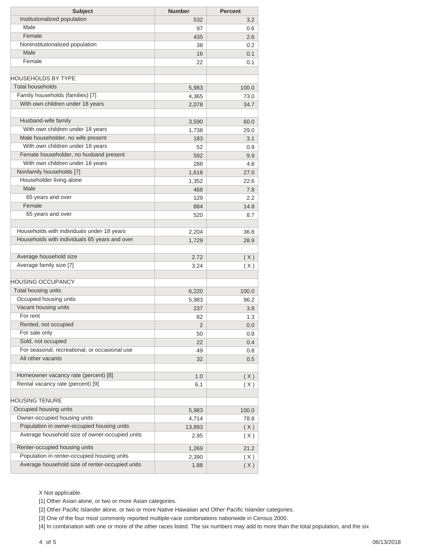| <b>Subject</b>                                  | <b>Number</b> | <b>Percent</b> |
|-------------------------------------------------|---------------|----------------|
| Institutionalized population                    | 532           | 3.2            |
| Male                                            | 97            | 0.6            |
| Female                                          | 435           | 2.6            |
| Noninstitutionalized population                 | 38            | 0.2            |
| Male                                            | 16            | 0.1            |
| Female                                          | 22            | 0.1            |
| <b>HOUSEHOLDS BY TYPE</b>                       |               |                |
| <b>Total households</b>                         | 5,983         | 100.0          |
| Family households (families) [7]                | 4,365         | 73.0           |
| With own children under 18 years                | 2,078         | 34.7           |
|                                                 |               |                |
| Husband-wife family                             | 3,590         | 60.0           |
| With own children under 18 years                | 1,738         | 29.0           |
| Male householder, no wife present               | 183           | 3.1            |
| With own children under 18 years                | 52            | 0.9            |
| Female householder, no husband present          | 592           | 9.9            |
| With own children under 18 years                | 288           | 4.8            |
| Nonfamily households [7]                        | 1,618         | 27.0           |
| Householder living alone                        | 1,352         | 22.6           |
| Male                                            | 468           | 7.8            |
| 65 years and over                               | 129           | 2.2            |
| Female                                          | 884           | 14.8           |
| 65 years and over                               | 520           | 8.7            |
|                                                 |               |                |
| Households with individuals under 18 years      | 2,204         | 36.8           |
| Households with individuals 65 years and over   | 1,729         | 28.9           |
|                                                 |               |                |
| Average household size                          | 2.72          | (X)            |
| Average family size [7]                         | 3.24          | (X)            |
| HOUSING OCCUPANCY                               |               |                |
| Total housing units                             | 6,220         | 100.0          |
| Occupied housing units                          | 5,983         | 96.2           |
| Vacant housing units                            | 237           | 3.8            |
| For rent                                        | 82            | 1.3            |
| Rented, not occupied                            | $\mathbf 2$   | 0.0            |
| For sale only                                   | 50            | 0.8            |
| Sold, not occupied                              | 22            | 0.4            |
| For seasonal, recreational, or occasional use   | 49            | 0.8            |
| All other vacants                               | 32            | 0.5            |
|                                                 |               |                |
| Homeowner vacancy rate (percent) [8]            | 1.0           | (X)            |
| Rental vacancy rate (percent) [9]               | 6.1           | (X)            |
| <b>HOUSING TENURE</b>                           |               |                |
| Occupied housing units                          | 5,983         | 100.0          |
| Owner-occupied housing units                    | 4,714         | 78.8           |
| Population in owner-occupied housing units      | 13,893        | (X)            |
| Average household size of owner-occupied units  | 2.95          | (X)            |
| Renter-occupied housing units                   | 1,269         | 21.2           |
| Population in renter-occupied housing units     | 2,390         | (X)            |
| Average household size of renter-occupied units | 1.88          | (X)            |

X Not applicable.

[1] Other Asian alone, or two or more Asian categories.

[2] Other Pacific Islander alone, or two or more Native Hawaiian and Other Pacific Islander categories.

[3] One of the four most commonly reported multiple-race combinations nationwide in Census 2000.

[4] In combination with one or more of the other races listed. The six numbers may add to more than the total population, and the six